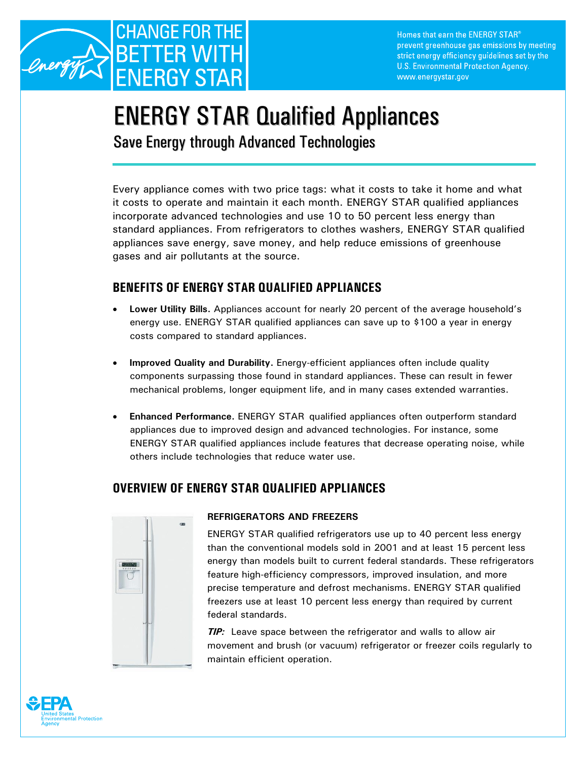

Homes that earn the ENERGY STAR® prevent greenhouse gas emissions by meeting strict energy efficiency guidelines set by the U.S. Environmental Protection Agency. www.energystar.gov

# ENERGY STAR Qualified Appliances

Save Energy through Advanced Technologies

Every appliance comes with two price tags: what it costs to take it home and what it costs to operate and maintain it each month. ENERGY STAR qualified appliances incorporate advanced technologies and use 10 to 50 percent less energy than standard appliances. From refrigerators to clothes washers, ENERGY STAR qualified appliances save energy, save money, and help reduce emissions of greenhouse gases and air pollutants at the source.

## **BENEFITS OF ENERGY STAR QUALIFIED APPLIANCES**

- **Lower Utility Bills.** Appliances account for nearly 20 percent of the average household's energy use. ENERGY STAR qualified appliances can save up to \$100 a year in energy costs compared to standard appliances.
- **Improved Quality and Durability.** Energy-efficient appliances often include quality components surpassing those found in standard appliances. These can result in fewer mechanical problems, longer equipment life, and in many cases extended warranties.
- **Enhanced Performance.** ENERGY STAR qualified appliances often outperform standard appliances due to improved design and advanced technologies. For instance, some ENERGY STAR qualified appliances include features that decrease operating noise, while others include technologies that reduce water use.

# **OVERVIEW OF ENERGY STAR QUALIFIED APPLIANCES**



## **REFRIGERATORS AND FREEZERS**

ENERGY STAR qualified refrigerators use up to 40 percent less energy than the conventional models sold in 2001 and at least 15 percent less energy than models built to current federal standards. These refrigerators feature high-efficiency compressors, improved insulation, and more precise temperature and defrost mechanisms. ENERGY STAR qualified freezers use at least 10 percent less energy than required by current federal standards.

*TIP:* Leave space between the refrigerator and walls to allow air movement and brush (or vacuum) refrigerator or freezer coils regularly to maintain efficient operation.